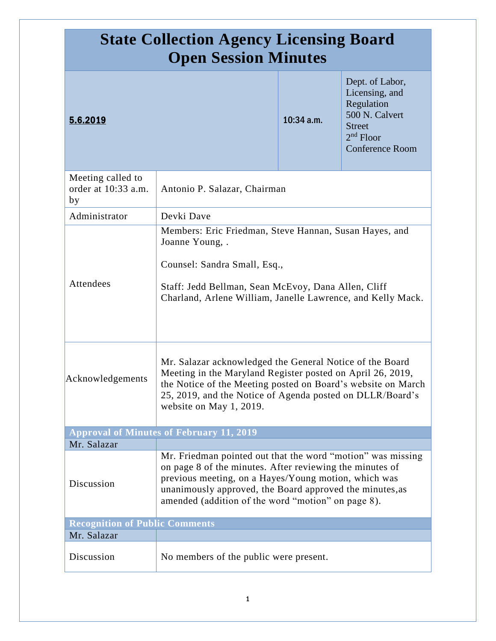| <b>State Collection Agency Licensing Board</b><br><b>Open Session Minutes</b> |                                                                                                                                                                                                                                                                                                   |              |                                                                                                                             |
|-------------------------------------------------------------------------------|---------------------------------------------------------------------------------------------------------------------------------------------------------------------------------------------------------------------------------------------------------------------------------------------------|--------------|-----------------------------------------------------------------------------------------------------------------------------|
| 5.6.2019                                                                      |                                                                                                                                                                                                                                                                                                   | $10:34$ a.m. | Dept. of Labor,<br>Licensing, and<br>Regulation<br>500 N. Calvert<br><b>Street</b><br>$2nd$ Floor<br><b>Conference Room</b> |
| Meeting called to<br>order at 10:33 a.m.<br>by                                | Antonio P. Salazar, Chairman                                                                                                                                                                                                                                                                      |              |                                                                                                                             |
| Administrator                                                                 | Devki Dave                                                                                                                                                                                                                                                                                        |              |                                                                                                                             |
| Attendees                                                                     | Members: Eric Friedman, Steve Hannan, Susan Hayes, and<br>Joanne Young, .<br>Counsel: Sandra Small, Esq.,<br>Staff: Jedd Bellman, Sean McEvoy, Dana Allen, Cliff<br>Charland, Arlene William, Janelle Lawrence, and Kelly Mack.                                                                   |              |                                                                                                                             |
| Acknowledgements                                                              | Mr. Salazar acknowledged the General Notice of the Board<br>Meeting in the Maryland Register posted on April 26, 2019,<br>the Notice of the Meeting posted on Board's website on March<br>25, 2019, and the Notice of Agenda posted on DLLR/Board's<br>website on May 1, 2019.                    |              |                                                                                                                             |
|                                                                               | <b>Approval of Minutes of February 11, 2019</b>                                                                                                                                                                                                                                                   |              |                                                                                                                             |
| Mr. Salazar                                                                   |                                                                                                                                                                                                                                                                                                   |              |                                                                                                                             |
| Discussion                                                                    | Mr. Friedman pointed out that the word "motion" was missing<br>on page 8 of the minutes. After reviewing the minutes of<br>previous meeting, on a Hayes/Young motion, which was<br>unanimously approved, the Board approved the minutes, as<br>amended (addition of the word "motion" on page 8). |              |                                                                                                                             |
| <b>Recognition of Public Comments</b>                                         |                                                                                                                                                                                                                                                                                                   |              |                                                                                                                             |
| Mr. Salazar                                                                   |                                                                                                                                                                                                                                                                                                   |              |                                                                                                                             |
| Discussion                                                                    | No members of the public were present.                                                                                                                                                                                                                                                            |              |                                                                                                                             |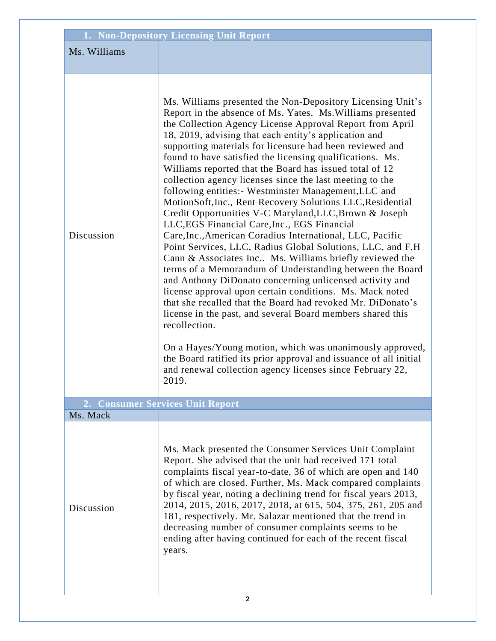| 1. Non-Depository Licensing Unit Report |                                                                                                                                                                                                                                                                                                                                                                                                                                                                                                                                                                                                                                                                                                                                                                                                                                                                                                                                                                                                                                                                                                                                                                                                                                                                                                                                                                                                                                                              |
|-----------------------------------------|--------------------------------------------------------------------------------------------------------------------------------------------------------------------------------------------------------------------------------------------------------------------------------------------------------------------------------------------------------------------------------------------------------------------------------------------------------------------------------------------------------------------------------------------------------------------------------------------------------------------------------------------------------------------------------------------------------------------------------------------------------------------------------------------------------------------------------------------------------------------------------------------------------------------------------------------------------------------------------------------------------------------------------------------------------------------------------------------------------------------------------------------------------------------------------------------------------------------------------------------------------------------------------------------------------------------------------------------------------------------------------------------------------------------------------------------------------------|
| Ms. Williams                            |                                                                                                                                                                                                                                                                                                                                                                                                                                                                                                                                                                                                                                                                                                                                                                                                                                                                                                                                                                                                                                                                                                                                                                                                                                                                                                                                                                                                                                                              |
|                                         |                                                                                                                                                                                                                                                                                                                                                                                                                                                                                                                                                                                                                                                                                                                                                                                                                                                                                                                                                                                                                                                                                                                                                                                                                                                                                                                                                                                                                                                              |
| Discussion                              | Ms. Williams presented the Non-Depository Licensing Unit's<br>Report in the absence of Ms. Yates. Ms. Williams presented<br>the Collection Agency License Approval Report from April<br>18, 2019, advising that each entity's application and<br>supporting materials for licensure had been reviewed and<br>found to have satisfied the licensing qualifications. Ms.<br>Williams reported that the Board has issued total of 12<br>collection agency licenses since the last meeting to the<br>following entities:- Westminster Management, LLC and<br>MotionSoft, Inc., Rent Recovery Solutions LLC, Residential<br>Credit Opportunities V-C Maryland, LLC, Brown & Joseph<br>LLC, EGS Financial Care, Inc., EGS Financial<br>Care, Inc., American Coradius International, LLC, Pacific<br>Point Services, LLC, Radius Global Solutions, LLC, and F.H.<br>Cann & Associates Inc Ms. Williams briefly reviewed the<br>terms of a Memorandum of Understanding between the Board<br>and Anthony DiDonato concerning unlicensed activity and<br>license approval upon certain conditions. Ms. Mack noted<br>that she recalled that the Board had revoked Mr. DiDonato's<br>license in the past, and several Board members shared this<br>recollection.<br>On a Hayes/Young motion, which was unanimously approved,<br>the Board ratified its prior approval and issuance of all initial<br>and renewal collection agency licenses since February 22,<br>2019. |
| Ms. Mack                                | 2. Consumer Services Unit Report                                                                                                                                                                                                                                                                                                                                                                                                                                                                                                                                                                                                                                                                                                                                                                                                                                                                                                                                                                                                                                                                                                                                                                                                                                                                                                                                                                                                                             |
| Discussion                              | Ms. Mack presented the Consumer Services Unit Complaint<br>Report. She advised that the unit had received 171 total<br>complaints fiscal year-to-date, 36 of which are open and 140<br>of which are closed. Further, Ms. Mack compared complaints<br>by fiscal year, noting a declining trend for fiscal years 2013,<br>2014, 2015, 2016, 2017, 2018, at 615, 504, 375, 261, 205 and<br>181, respectively. Mr. Salazar mentioned that the trend in<br>decreasing number of consumer complaints seems to be<br>ending after having continued for each of the recent fiscal<br>years.                                                                                                                                                                                                                                                                                                                                                                                                                                                                                                                                                                                                                                                                                                                                                                                                                                                                          |
| $\overline{2}$                          |                                                                                                                                                                                                                                                                                                                                                                                                                                                                                                                                                                                                                                                                                                                                                                                                                                                                                                                                                                                                                                                                                                                                                                                                                                                                                                                                                                                                                                                              |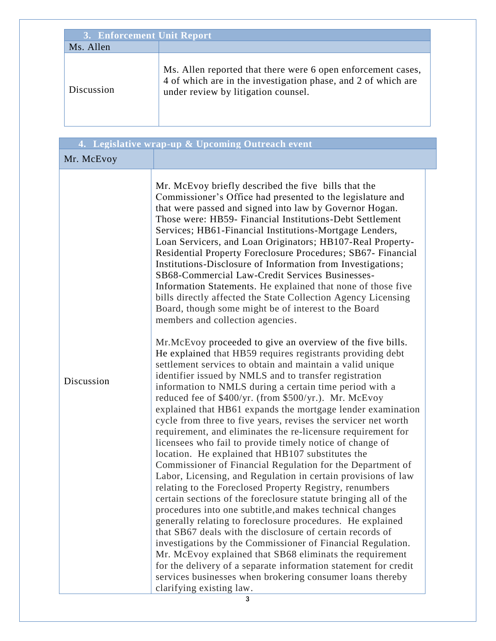| 3. Enforcement Unit Report |                                                                                                                                                                      |  |
|----------------------------|----------------------------------------------------------------------------------------------------------------------------------------------------------------------|--|
| Ms. Allen                  |                                                                                                                                                                      |  |
| Discussion                 | Ms. Allen reported that there were 6 open enforcement cases,<br>4 of which are in the investigation phase, and 2 of which are<br>under review by litigation counsel. |  |

|            | 4. Legislative wrap-up & Upcoming Outreach event                                                                                                                                                                                                                                                                                                                                                                                                                                                                                                                                                                                                                                                                                                                                                                                                                                                                                                                                                                                                                                                                                                                                                                                                                                                                                                                                                                                                                                                                                                                                                                                                                                                                                                                                                                                                                                                                                                                                                                                                                                                                                                                                                                        |
|------------|-------------------------------------------------------------------------------------------------------------------------------------------------------------------------------------------------------------------------------------------------------------------------------------------------------------------------------------------------------------------------------------------------------------------------------------------------------------------------------------------------------------------------------------------------------------------------------------------------------------------------------------------------------------------------------------------------------------------------------------------------------------------------------------------------------------------------------------------------------------------------------------------------------------------------------------------------------------------------------------------------------------------------------------------------------------------------------------------------------------------------------------------------------------------------------------------------------------------------------------------------------------------------------------------------------------------------------------------------------------------------------------------------------------------------------------------------------------------------------------------------------------------------------------------------------------------------------------------------------------------------------------------------------------------------------------------------------------------------------------------------------------------------------------------------------------------------------------------------------------------------------------------------------------------------------------------------------------------------------------------------------------------------------------------------------------------------------------------------------------------------------------------------------------------------------------------------------------------------|
| Mr. McEvoy |                                                                                                                                                                                                                                                                                                                                                                                                                                                                                                                                                                                                                                                                                                                                                                                                                                                                                                                                                                                                                                                                                                                                                                                                                                                                                                                                                                                                                                                                                                                                                                                                                                                                                                                                                                                                                                                                                                                                                                                                                                                                                                                                                                                                                         |
| Discussion | Mr. McEvoy briefly described the five bills that the<br>Commissioner's Office had presented to the legislature and<br>that were passed and signed into law by Governor Hogan.<br>Those were: HB59- Financial Institutions-Debt Settlement<br>Services; HB61-Financial Institutions-Mortgage Lenders,<br>Loan Servicers, and Loan Originators; HB107-Real Property-<br>Residential Property Foreclosure Procedures; SB67- Financial<br>Institutions-Disclosure of Information from Investigations;<br>SB68-Commercial Law-Credit Services Businesses-<br>Information Statements. He explained that none of those five<br>bills directly affected the State Collection Agency Licensing<br>Board, though some might be of interest to the Board<br>members and collection agencies.<br>Mr. McEvoy proceeded to give an overview of the five bills.<br>He explained that HB59 requires registrants providing debt<br>settlement services to obtain and maintain a valid unique<br>identifier issued by NMLS and to transfer registration<br>information to NMLS during a certain time period with a<br>reduced fee of \$400/yr. (from \$500/yr.). Mr. McEvoy<br>explained that HB61 expands the mortgage lender examination<br>cycle from three to five years, revises the servicer net worth<br>requirement, and eliminates the re-licensure requirement for<br>licensees who fail to provide timely notice of change of<br>location. He explained that HB107 substitutes the<br>Commissioner of Financial Regulation for the Department of<br>Labor, Licensing, and Regulation in certain provisions of law<br>relating to the Foreclosed Property Registry, renumbers<br>certain sections of the foreclosure statute bringing all of the<br>procedures into one subtitle, and makes technical changes<br>generally relating to foreclosure procedures. He explained<br>that SB67 deals with the disclosure of certain records of<br>investigations by the Commissioner of Financial Regulation.<br>Mr. McEvoy explained that SB68 eliminats the requirement<br>for the delivery of a separate information statement for credit<br>services businesses when brokering consumer loans thereby<br>clarifying existing law. |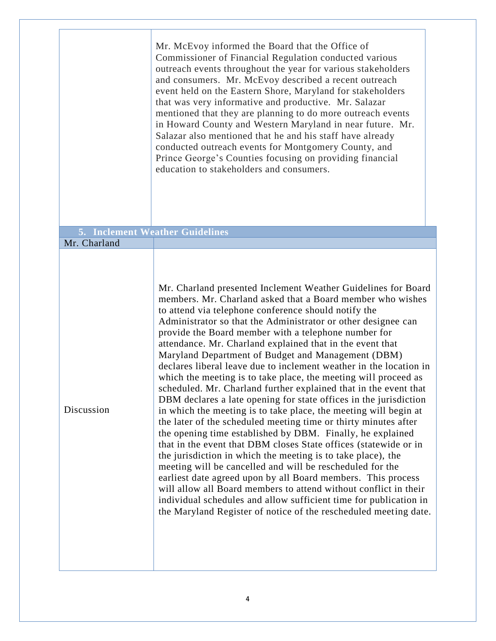|              | Mr. McEvoy informed the Board that the Office of<br>Commissioner of Financial Regulation conducted various<br>outreach events throughout the year for various stakeholders<br>and consumers. Mr. McEvoy described a recent outreach<br>event held on the Eastern Shore, Maryland for stakeholders<br>that was very informative and productive. Mr. Salazar<br>mentioned that they are planning to do more outreach events<br>in Howard County and Western Maryland in near future. Mr.<br>Salazar also mentioned that he and his staff have already<br>conducted outreach events for Montgomery County, and<br>Prince George's Counties focusing on providing financial<br>education to stakeholders and consumers.                                                                                                                                                                                                                                                                                                                                                                                                                                                                                                                                                                                                                                                                                  |  |
|--------------|------------------------------------------------------------------------------------------------------------------------------------------------------------------------------------------------------------------------------------------------------------------------------------------------------------------------------------------------------------------------------------------------------------------------------------------------------------------------------------------------------------------------------------------------------------------------------------------------------------------------------------------------------------------------------------------------------------------------------------------------------------------------------------------------------------------------------------------------------------------------------------------------------------------------------------------------------------------------------------------------------------------------------------------------------------------------------------------------------------------------------------------------------------------------------------------------------------------------------------------------------------------------------------------------------------------------------------------------------------------------------------------------------|--|
|              | 5. Inclement Weather Guidelines                                                                                                                                                                                                                                                                                                                                                                                                                                                                                                                                                                                                                                                                                                                                                                                                                                                                                                                                                                                                                                                                                                                                                                                                                                                                                                                                                                      |  |
| Mr. Charland |                                                                                                                                                                                                                                                                                                                                                                                                                                                                                                                                                                                                                                                                                                                                                                                                                                                                                                                                                                                                                                                                                                                                                                                                                                                                                                                                                                                                      |  |
| Discussion   | Mr. Charland presented Inclement Weather Guidelines for Board<br>members. Mr. Charland asked that a Board member who wishes<br>to attend via telephone conference should notify the<br>Administrator so that the Administrator or other designee can<br>provide the Board member with a telephone number for<br>attendance. Mr. Charland explained that in the event that<br>Maryland Department of Budget and Management (DBM)<br>declares liberal leave due to inclement weather in the location in<br>which the meeting is to take place, the meeting will proceed as<br>scheduled. Mr. Charland further explained that in the event that<br>DBM declares a late opening for state offices in the jurisdiction<br>in which the meeting is to take place, the meeting will begin at<br>the later of the scheduled meeting time or thirty minutes after<br>the opening time established by DBM. Finally, he explained<br>that in the event that DBM closes State offices (statewide or in<br>the jurisdiction in which the meeting is to take place), the<br>meeting will be cancelled and will be rescheduled for the<br>earliest date agreed upon by all Board members. This process<br>will allow all Board members to attend without conflict in their<br>individual schedules and allow sufficient time for publication in<br>the Maryland Register of notice of the rescheduled meeting date. |  |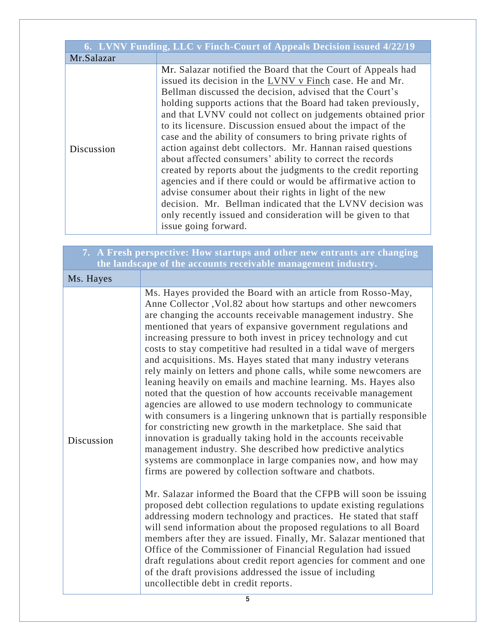| 6. LVNV Funding, LLC v Finch-Court of Appeals Decision issued 4/22/19 |                                                                                                                                                                                                                                                                                                                                                                                                                                                                                                                                                                                                                                                                                                                                                                                                                                                                                                                                    |  |
|-----------------------------------------------------------------------|------------------------------------------------------------------------------------------------------------------------------------------------------------------------------------------------------------------------------------------------------------------------------------------------------------------------------------------------------------------------------------------------------------------------------------------------------------------------------------------------------------------------------------------------------------------------------------------------------------------------------------------------------------------------------------------------------------------------------------------------------------------------------------------------------------------------------------------------------------------------------------------------------------------------------------|--|
| Mr.Salazar                                                            |                                                                                                                                                                                                                                                                                                                                                                                                                                                                                                                                                                                                                                                                                                                                                                                                                                                                                                                                    |  |
| Discussion                                                            | Mr. Salazar notified the Board that the Court of Appeals had<br>issued its decision in the LVNV v Finch case. He and Mr.<br>Bellman discussed the decision, advised that the Court's<br>holding supports actions that the Board had taken previously,<br>and that LVNV could not collect on judgements obtained prior<br>to its licensure. Discussion ensued about the impact of the<br>case and the ability of consumers to bring private rights of<br>action against debt collectors. Mr. Hannan raised questions<br>about affected consumers' ability to correct the records<br>created by reports about the judgments to the credit reporting<br>agencies and if there could or would be affirmative action to<br>advise consumer about their rights in light of the new<br>decision. Mr. Bellman indicated that the LVNV decision was<br>only recently issued and consideration will be given to that<br>issue going forward. |  |

| 7. A Fresh perspective: How startups and other new entrants are changing<br>the landscape of the accounts receivable management industry. |                                                                                                                                                                                                                                                                                                                                                                                                                                                                                                                                                                                                                                                                                                                                                                                                                                                                                                                                                                                                                                                                                                                                                                                                                                                                                                                                                                                                                                                                                                                                                                                                                                                                                                                                                           |  |
|-------------------------------------------------------------------------------------------------------------------------------------------|-----------------------------------------------------------------------------------------------------------------------------------------------------------------------------------------------------------------------------------------------------------------------------------------------------------------------------------------------------------------------------------------------------------------------------------------------------------------------------------------------------------------------------------------------------------------------------------------------------------------------------------------------------------------------------------------------------------------------------------------------------------------------------------------------------------------------------------------------------------------------------------------------------------------------------------------------------------------------------------------------------------------------------------------------------------------------------------------------------------------------------------------------------------------------------------------------------------------------------------------------------------------------------------------------------------------------------------------------------------------------------------------------------------------------------------------------------------------------------------------------------------------------------------------------------------------------------------------------------------------------------------------------------------------------------------------------------------------------------------------------------------|--|
| Ms. Hayes                                                                                                                                 |                                                                                                                                                                                                                                                                                                                                                                                                                                                                                                                                                                                                                                                                                                                                                                                                                                                                                                                                                                                                                                                                                                                                                                                                                                                                                                                                                                                                                                                                                                                                                                                                                                                                                                                                                           |  |
| Discussion                                                                                                                                | Ms. Hayes provided the Board with an article from Rosso-May,<br>Anne Collector , Vol.82 about how startups and other newcomers<br>are changing the accounts receivable management industry. She<br>mentioned that years of expansive government regulations and<br>increasing pressure to both invest in pricey technology and cut<br>costs to stay competitive had resulted in a tidal wave of mergers<br>and acquisitions. Ms. Hayes stated that many industry veterans<br>rely mainly on letters and phone calls, while some newcomers are<br>leaning heavily on emails and machine learning. Ms. Hayes also<br>noted that the question of how accounts receivable management<br>agencies are allowed to use modern technology to communicate<br>with consumers is a lingering unknown that is partially responsible<br>for constricting new growth in the marketplace. She said that<br>innovation is gradually taking hold in the accounts receivable<br>management industry. She described how predictive analytics<br>systems are commonplace in large companies now, and how may<br>firms are powered by collection software and chatbots.<br>Mr. Salazar informed the Board that the CFPB will soon be issuing<br>proposed debt collection regulations to update existing regulations<br>addressing modern technology and practices. He stated that staff<br>will send information about the proposed regulations to all Board<br>members after they are issued. Finally, Mr. Salazar mentioned that<br>Office of the Commissioner of Financial Regulation had issued<br>draft regulations about credit report agencies for comment and one<br>of the draft provisions addressed the issue of including<br>uncollectible debt in credit reports. |  |